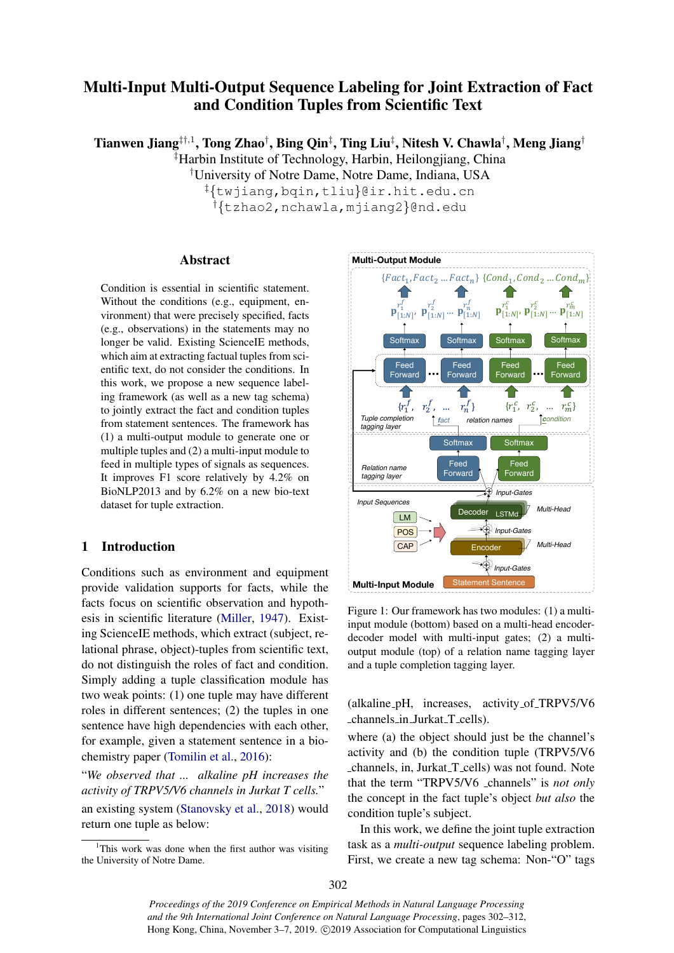# Multi-Input Multi-Output Sequence Labeling for Joint Extraction of Fact and Condition Tuples from Scientific Text

Tianwen Jiang $^{\ddagger\uparrow,1}$ , Tong Zhao $^\dagger$ , Bing Qin $^\ddagger$ , Ting Liu $^\ddagger$ , Nitesh V. Chawla $^\dagger$ , Meng Jiang $^\dagger$ ‡Harbin Institute of Technology, Harbin, Heilongjiang, China

†University of Notre Dame, Notre Dame, Indiana, USA

‡{twjiang,bqin,tliu}@ir.hit.edu.cn †{tzhao2,nchawla,mjiang2}@nd.edu

## Abstract

Condition is essential in scientific statement. Without the conditions (e.g., equipment, environment) that were precisely specified, facts (e.g., observations) in the statements may no longer be valid. Existing ScienceIE methods, which aim at extracting factual tuples from scientific text, do not consider the conditions. In this work, we propose a new sequence labeling framework (as well as a new tag schema) to jointly extract the fact and condition tuples from statement sentences. The framework has (1) a multi-output module to generate one or multiple tuples and (2) a multi-input module to feed in multiple types of signals as sequences. It improves F1 score relatively by 4.2% on BioNLP2013 and by 6.2% on a new bio-text dataset for tuple extraction.

# 1 Introduction

Conditions such as environment and equipment provide validation supports for facts, while the facts focus on scientific observation and hypothesis in scientific literature [\(Miller,](#page-9-0) [1947\)](#page-9-0). Existing ScienceIE methods, which extract (subject, relational phrase, object)-tuples from scientific text, do not distinguish the roles of fact and condition. Simply adding a tuple classification module has two weak points: (1) one tuple may have different roles in different sentences; (2) the tuples in one sentence have high dependencies with each other, for example, given a statement sentence in a biochemistry paper [\(Tomilin et al.,](#page-9-1) [2016\)](#page-9-1):

"*We observed that ... alkaline pH increases the activity of TRPV5/V6 channels in Jurkat T cells.*" an existing system [\(Stanovsky et al.,](#page-9-2) [2018\)](#page-9-2) would return one tuple as below:

<span id="page-0-0"></span>

Figure 1: Our framework has two modules: (1) a multiinput module (bottom) based on a multi-head encoderdecoder model with multi-input gates; (2) a multioutput module (top) of a relation name tagging layer and a tuple completion tagging layer.

(alkaline pH, increases, activity of TRPV5/V6 channels in Jurkat T cells).

where (a) the object should just be the channel's activity and (b) the condition tuple (TRPV5/V6 channels, in, Jurkat T cells) was not found. Note that the term "TRPV5/V6 \_channels" is *not only* the concept in the fact tuple's object *but also* the condition tuple's subject.

In this work, we define the joint tuple extraction task as a *multi-output* sequence labeling problem. First, we create a new tag schema: Non-"O" tags

<sup>&</sup>lt;sup>1</sup>This work was done when the first author was visiting the University of Notre Dame.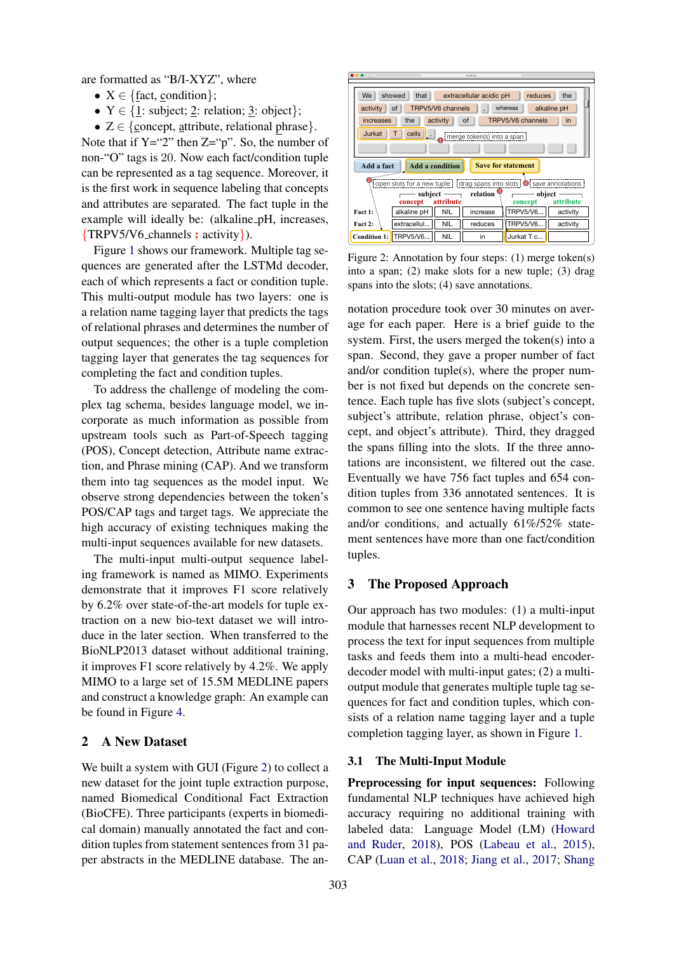are formatted as "B/I-XYZ", where

- $X \in \{ \text{fact. condition} \}$ :
- $Y \in \{1: \text{ subject}; 2: \text{relation}; 3: \text{ object}\};$
- $Z \in \{\text{concept}, \text{attribute}, \text{relational phrase}\}.$

Note that if  $Y = "2"$  then  $Z = "p"$ . So, the number of non-"O" tags is 20. Now each fact/condition tuple can be represented as a tag sequence. Moreover, it is the first work in sequence labeling that concepts and attributes are separated. The fact tuple in the example will ideally be: (alkaline\_pH, increases, {TRPV5/V6 channels : activity}).

Figure [1](#page-0-0) shows our framework. Multiple tag sequences are generated after the LSTMd decoder, each of which represents a fact or condition tuple. This multi-output module has two layers: one is a relation name tagging layer that predicts the tags of relational phrases and determines the number of output sequences; the other is a tuple completion tagging layer that generates the tag sequences for completing the fact and condition tuples.

To address the challenge of modeling the complex tag schema, besides language model, we incorporate as much information as possible from upstream tools such as Part-of-Speech tagging (POS), Concept detection, Attribute name extraction, and Phrase mining (CAP). And we transform them into tag sequences as the model input. We observe strong dependencies between the token's POS/CAP tags and target tags. We appreciate the high accuracy of existing techniques making the multi-input sequences available for new datasets.

The multi-input multi-output sequence labeling framework is named as MIMO. Experiments demonstrate that it improves F1 score relatively by 6.2% over state-of-the-art models for tuple extraction on a new bio-text dataset we will introduce in the later section. When transferred to the BioNLP2013 dataset without additional training, it improves F1 score relatively by 4.2%. We apply MIMO to a large set of 15.5M MEDLINE papers and construct a knowledge graph: An example can be found in Figure [4.](#page-7-0)

# <span id="page-1-1"></span>2 A New Dataset

We built a system with GUI (Figure [2\)](#page-1-0) to collect a new dataset for the joint tuple extraction purpose, named Biomedical Conditional Fact Extraction (BioCFE). Three participants (experts in biomedical domain) manually annotated the fact and condition tuples from statement sentences from 31 paper abstracts in the MEDLINE database. The an-

<span id="page-1-0"></span>

Figure 2: Annotation by four steps: (1) merge token(s) into a span; (2) make slots for a new tuple; (3) drag spans into the slots; (4) save annotations.

notation procedure took over 30 minutes on average for each paper. Here is a brief guide to the system. First, the users merged the token(s) into a span. Second, they gave a proper number of fact and/or condition tuple(s), where the proper number is not fixed but depends on the concrete sentence. Each tuple has five slots (subject's concept, subject's attribute, relation phrase, object's concept, and object's attribute). Third, they dragged the spans filling into the slots. If the three annotations are inconsistent, we filtered out the case. Eventually we have 756 fact tuples and 654 condition tuples from 336 annotated sentences. It is common to see one sentence having multiple facts and/or conditions, and actually 61%/52% statement sentences have more than one fact/condition tuples.

## 3 The Proposed Approach

Our approach has two modules: (1) a multi-input module that harnesses recent NLP development to process the text for input sequences from multiple tasks and feeds them into a multi-head encoderdecoder model with multi-input gates; (2) a multioutput module that generates multiple tuple tag sequences for fact and condition tuples, which consists of a relation name tagging layer and a tuple completion tagging layer, as shown in Figure [1.](#page-0-0)

#### 3.1 The Multi-Input Module

Preprocessing for input sequences: Following fundamental NLP techniques have achieved high accuracy requiring no additional training with labeled data: Language Model (LM) [\(Howard](#page-8-0) [and Ruder,](#page-8-0) [2018\)](#page-8-0), POS [\(Labeau et al.,](#page-9-3) [2015\)](#page-9-3), CAP [\(Luan et al.,](#page-9-4) [2018;](#page-9-4) [Jiang et al.,](#page-9-5) [2017;](#page-9-5) [Shang](#page-9-6)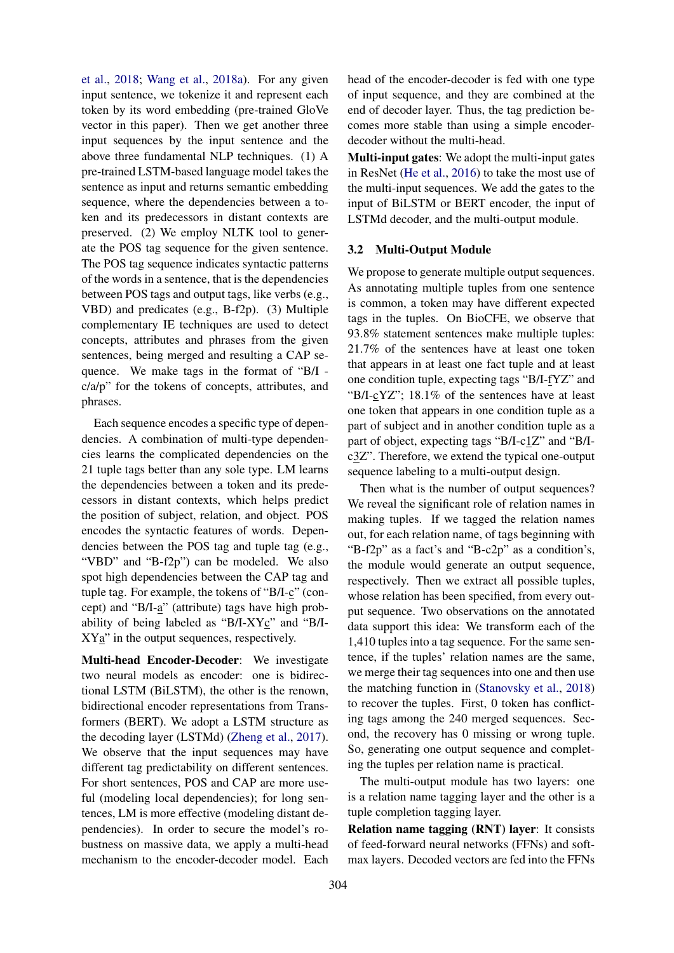[et al.,](#page-9-6) [2018;](#page-9-6) [Wang et al.,](#page-9-7) [2018a\)](#page-9-7). For any given input sentence, we tokenize it and represent each token by its word embedding (pre-trained GloVe vector in this paper). Then we get another three input sequences by the input sentence and the above three fundamental NLP techniques. (1) A pre-trained LSTM-based language model takes the sentence as input and returns semantic embedding sequence, where the dependencies between a token and its predecessors in distant contexts are preserved. (2) We employ NLTK tool to generate the POS tag sequence for the given sentence. The POS tag sequence indicates syntactic patterns of the words in a sentence, that is the dependencies between POS tags and output tags, like verbs (e.g., VBD) and predicates (e.g., B-f2p). (3) Multiple complementary IE techniques are used to detect concepts, attributes and phrases from the given sentences, being merged and resulting a CAP sequence. We make tags in the format of "B/I c/a/p" for the tokens of concepts, attributes, and phrases.

Each sequence encodes a specific type of dependencies. A combination of multi-type dependencies learns the complicated dependencies on the 21 tuple tags better than any sole type. LM learns the dependencies between a token and its predecessors in distant contexts, which helps predict the position of subject, relation, and object. POS encodes the syntactic features of words. Dependencies between the POS tag and tuple tag (e.g., "VBD" and "B-f2p") can be modeled. We also spot high dependencies between the CAP tag and tuple tag. For example, the tokens of "B/I-c" (concept) and "B/I-a" (attribute) tags have high probability of being labeled as "B/I-XYc" and "B/I- $XYa$ " in the output sequences, respectively.

Multi-head Encoder-Decoder: We investigate two neural models as encoder: one is bidirectional LSTM (BiLSTM), the other is the renown, bidirectional encoder representations from Transformers (BERT). We adopt a LSTM structure as the decoding layer (LSTMd) [\(Zheng et al.,](#page-10-0) [2017\)](#page-10-0). We observe that the input sequences may have different tag predictability on different sentences. For short sentences, POS and CAP are more useful (modeling local dependencies); for long sentences, LM is more effective (modeling distant dependencies). In order to secure the model's robustness on massive data, we apply a multi-head mechanism to the encoder-decoder model. Each

head of the encoder-decoder is fed with one type of input sequence, and they are combined at the end of decoder layer. Thus, the tag prediction becomes more stable than using a simple encoderdecoder without the multi-head.

Multi-input gates: We adopt the multi-input gates in ResNet [\(He et al.,](#page-8-1) [2016\)](#page-8-1) to take the most use of the multi-input sequences. We add the gates to the input of BiLSTM or BERT encoder, the input of LSTMd decoder, and the multi-output module.

#### 3.2 Multi-Output Module

We propose to generate multiple output sequences. As annotating multiple tuples from one sentence is common, a token may have different expected tags in the tuples. On BioCFE, we observe that 93.8% statement sentences make multiple tuples: 21.7% of the sentences have at least one token that appears in at least one fact tuple and at least one condition tuple, expecting tags "B/I-fYZ" and "B/I-cYZ"; 18.1% of the sentences have at least one token that appears in one condition tuple as a part of subject and in another condition tuple as a part of object, expecting tags "B/I-c1Z" and "B/Ic3Z". Therefore, we extend the typical one-output sequence labeling to a multi-output design.

Then what is the number of output sequences? We reveal the significant role of relation names in making tuples. If we tagged the relation names out, for each relation name, of tags beginning with "B-f2p" as a fact's and "B-c2p" as a condition's, the module would generate an output sequence, respectively. Then we extract all possible tuples, whose relation has been specified, from every output sequence. Two observations on the annotated data support this idea: We transform each of the 1,410 tuples into a tag sequence. For the same sentence, if the tuples' relation names are the same, we merge their tag sequences into one and then use the matching function in [\(Stanovsky et al.,](#page-9-2) [2018\)](#page-9-2) to recover the tuples. First, 0 token has conflicting tags among the 240 merged sequences. Second, the recovery has 0 missing or wrong tuple. So, generating one output sequence and completing the tuples per relation name is practical.

The multi-output module has two layers: one is a relation name tagging layer and the other is a tuple completion tagging layer.

Relation name tagging (RNT) layer: It consists of feed-forward neural networks (FFNs) and softmax layers. Decoded vectors are fed into the FFNs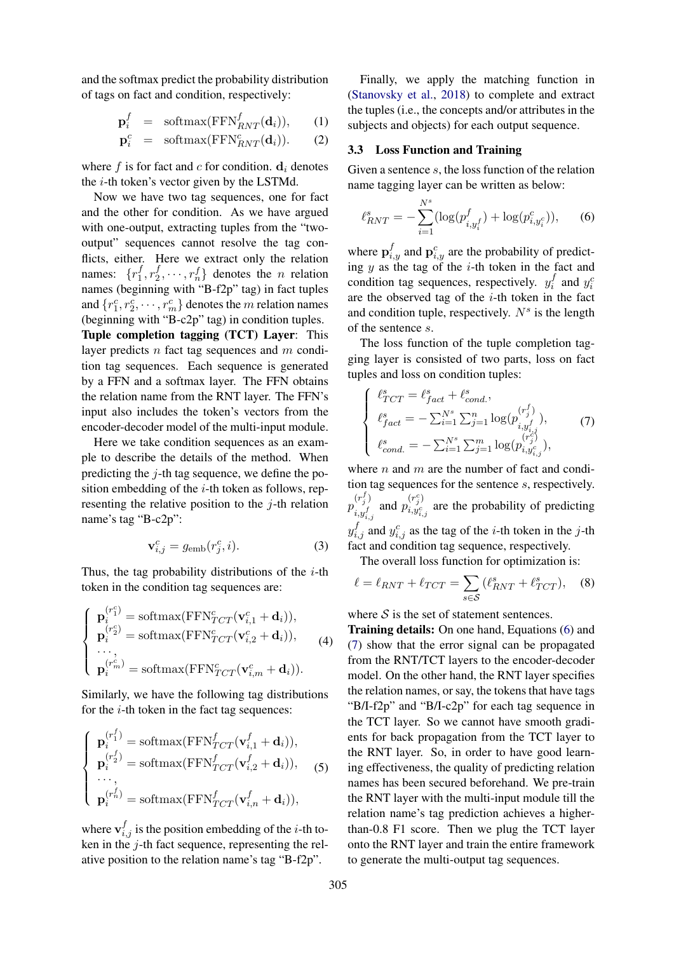and the softmax predict the probability distribution of tags on fact and condition, respectively:

$$
\mathbf{p}_i^f = \text{softmax}(\text{FFN}_{RNT}^f(\mathbf{d}_i)), \qquad (1)
$$

$$
\mathbf{p}_i^c = \text{softmax}(\text{FFN}_{RNT}^c(\mathbf{d}_i)). \qquad (2)
$$

where f is for fact and c for condition.  $\mathbf{d}_i$  denotes the  $i$ -th token's vector given by the LSTMd.

Now we have two tag sequences, one for fact and the other for condition. As we have argued with one-output, extracting tuples from the "twooutput" sequences cannot resolve the tag conflicts, either. Here we extract only the relation names:  $\{r_1^f\}$  $\frac{f}{1}, r_2^f$  $\{x_1^f, \dots, x_n^f\}$  denotes the *n* relation names (beginning with "B-f2p" tag) in fact tuples and  $\{r_1^c, r_2^c, \cdots, r_m^c\}$  denotes the m relation names (beginning with "B-c2p" tag) in condition tuples. Tuple completion tagging (TCT) Layer: This layer predicts  $n$  fact tag sequences and  $m$  condition tag sequences. Each sequence is generated by a FFN and a softmax layer. The FFN obtains the relation name from the RNT layer. The FFN's input also includes the token's vectors from the encoder-decoder model of the multi-input module.

Here we take condition sequences as an example to describe the details of the method. When predicting the  $i$ -th tag sequence, we define the position embedding of the  $i$ -th token as follows, representing the relative position to the  $i$ -th relation name's tag "B-c2p":

$$
\mathbf{v}_{i,j}^c = g_{\text{emb}}(r_j^c, i). \tag{3}
$$

Thus, the tag probability distributions of the  $i$ -th token in the condition tag sequences are:

$$
\begin{cases}\n\mathbf{p}_i^{(r_1^c)} = \text{softmax}(\text{FFN}_{TCT}^c(\mathbf{v}_{i,1}^c + \mathbf{d}_i)), \\
\mathbf{p}_i^{(r_2^c)} = \text{softmax}(\text{FFN}_{TCT}^c(\mathbf{v}_{i,2}^c + \mathbf{d}_i)), \\
\cdots, \\
\mathbf{p}_i^{(r_m^c)} = \text{softmax}(\text{FFN}_{TCT}^c(\mathbf{v}_{i,m}^c + \mathbf{d}_i)).\n\end{cases} (4)
$$

Similarly, we have the following tag distributions for the  $i$ -th token in the fact tag sequences:

$$
\begin{cases}\n\mathbf{p}_i^{(r_1^f)} = \text{softmax}(\text{FFN}_{TCT}^f(\mathbf{v}_{i,1}^f + \mathbf{d}_i)), \\
\mathbf{p}_i^{(r_2^f)} = \text{softmax}(\text{FFN}_{TCT}^f(\mathbf{v}_{i,2}^f + \mathbf{d}_i)), \\
\cdots, \\
\mathbf{p}_i^{(r_n^f)} = \text{softmax}(\text{FFN}_{TCT}^f(\mathbf{v}_{i,n}^f + \mathbf{d}_i)),\n\end{cases}
$$
\n(5)

where  $\mathbf{v}_{i,j}^f$  is the position embedding of the *i*-th token in the j-th fact sequence, representing the relative position to the relation name's tag "B-f2p".

Finally, we apply the matching function in [\(Stanovsky et al.,](#page-9-2) [2018\)](#page-9-2) to complete and extract the tuples (i.e., the concepts and/or attributes in the subjects and objects) for each output sequence.

## 3.3 Loss Function and Training

Given a sentence s, the loss function of the relation name tagging layer can be written as below:

<span id="page-3-0"></span>
$$
\ell_{RNT}^s = -\sum_{i=1}^{N^s} (\log(p_{i,y_i^f}^f) + \log(p_{i,y_i^c}^c)),
$$
 (6)

where  $\mathbf{p}_{i,y}^f$  and  $\mathbf{p}_{i,y}^c$  are the probability of predicting  $y$  as the tag of the *i*-th token in the fact and condition tag sequences, respectively.  $y_i^f$  $y_i^f$  and  $y_i^c$ are the observed tag of the  $i$ -th token in the fact and condition tuple, respectively.  $N<sup>s</sup>$  is the length of the sentence s.

The loss function of the tuple completion tagging layer is consisted of two parts, loss on fact tuples and loss on condition tuples:

<span id="page-3-1"></span>
$$
\begin{cases}\n\ell_{TCT}^s = \ell_{fact}^s + \ell_{cond.}^s, \\
\ell_{fact}^s = -\sum_{i=1}^{N^s} \sum_{j=1}^n \log(p_{i,y_{i,j}^f}^{(r_j^f)}), \\
\ell_{cond.}^s = -\sum_{i=1}^{N^s} \sum_{j=1}^m \log(p_{i,y_{i,j}^c}^{(r_j^c)}),\n\end{cases}
$$
\n(7)

where  $n$  and  $m$  are the number of fact and condition tag sequences for the sentence s, respectively.  $p_{\perp}^{(r_{j}^{f})}$  $\binom{(r_j^f)}{i,y_{i,j}^f}$  and  $p_{i,y_{i,j}^c}^{(r_j^c)}$  $i, y_i^{\prime} j_i^{\prime}$  are the probability of predicting  $y_{i,j}^f$  and  $y_{i,j}^c$  as the tag of the *i*-th token in the *j*-th fact and condition tag sequence, respectively.

The overall loss function for optimization is:

$$
\ell = \ell_{RNT} + \ell_{TCT} = \sum_{s \in \mathcal{S}} (\ell_{RNT}^s + \ell_{TCT}^s), \quad (8)
$$

where  $S$  is the set of statement sentences.

Training details: On one hand, Equations [\(6\)](#page-3-0) and [\(7\)](#page-3-1) show that the error signal can be propagated from the RNT/TCT layers to the encoder-decoder model. On the other hand, the RNT layer specifies the relation names, or say, the tokens that have tags "B/I-f2p" and "B/I-c2p" for each tag sequence in the TCT layer. So we cannot have smooth gradients for back propagation from the TCT layer to the RNT layer. So, in order to have good learning effectiveness, the quality of predicting relation names has been secured beforehand. We pre-train the RNT layer with the multi-input module till the relation name's tag prediction achieves a higherthan-0.8 F1 score. Then we plug the TCT layer onto the RNT layer and train the entire framework to generate the multi-output tag sequences.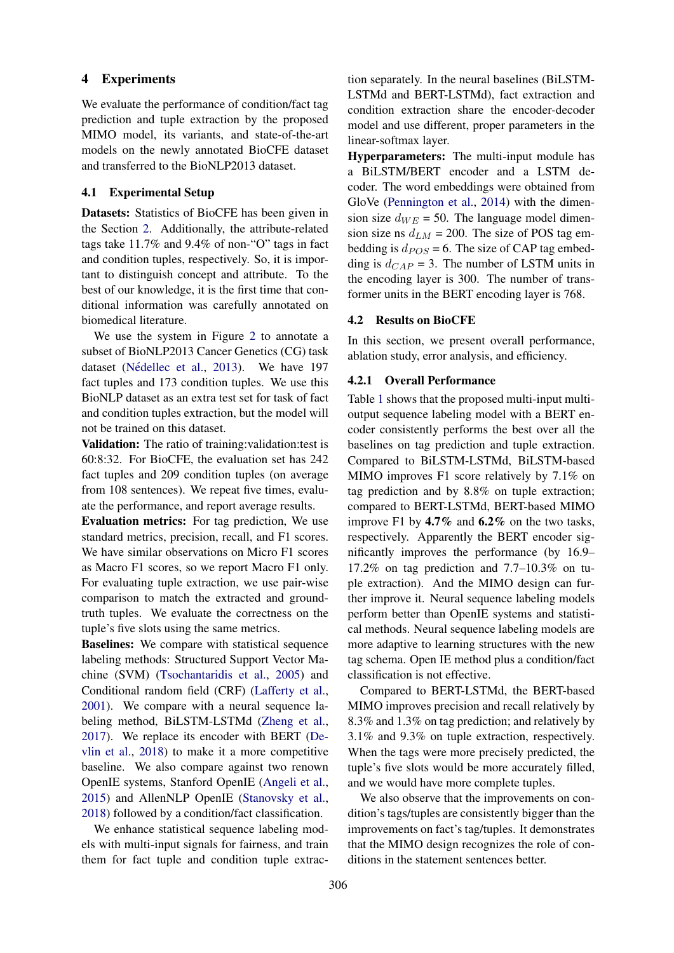## 4 Experiments

We evaluate the performance of condition/fact tag prediction and tuple extraction by the proposed MIMO model, its variants, and state-of-the-art models on the newly annotated BioCFE dataset and transferred to the BioNLP2013 dataset.

# 4.1 Experimental Setup

Datasets: Statistics of BioCFE has been given in the Section [2.](#page-1-1) Additionally, the attribute-related tags take 11.7% and 9.4% of non-"O" tags in fact and condition tuples, respectively. So, it is important to distinguish concept and attribute. To the best of our knowledge, it is the first time that conditional information was carefully annotated on biomedical literature.

We use the system in Figure [2](#page-1-0) to annotate a subset of BioNLP2013 Cancer Genetics (CG) task dataset (Nédellec et al., [2013\)](#page-9-8). We have 197 fact tuples and 173 condition tuples. We use this BioNLP dataset as an extra test set for task of fact and condition tuples extraction, but the model will not be trained on this dataset.

Validation: The ratio of training:validation:test is 60:8:32. For BioCFE, the evaluation set has 242 fact tuples and 209 condition tuples (on average from 108 sentences). We repeat five times, evaluate the performance, and report average results.

Evaluation metrics: For tag prediction, We use standard metrics, precision, recall, and F1 scores. We have similar observations on Micro F1 scores as Macro F1 scores, so we report Macro F1 only. For evaluating tuple extraction, we use pair-wise comparison to match the extracted and groundtruth tuples. We evaluate the correctness on the tuple's five slots using the same metrics.

Baselines: We compare with statistical sequence labeling methods: Structured Support Vector Machine (SVM) [\(Tsochantaridis et al.,](#page-9-9) [2005\)](#page-9-9) and Conditional random field (CRF) [\(Lafferty et al.,](#page-9-10) [2001\)](#page-9-10). We compare with a neural sequence labeling method, BiLSTM-LSTMd [\(Zheng et al.,](#page-10-0) [2017\)](#page-10-0). We replace its encoder with BERT [\(De](#page-8-2)[vlin et al.,](#page-8-2) [2018\)](#page-8-2) to make it a more competitive baseline. We also compare against two renown OpenIE systems, Stanford OpenIE [\(Angeli et al.,](#page-8-3) [2015\)](#page-8-3) and AllenNLP OpenIE [\(Stanovsky et al.,](#page-9-2) [2018\)](#page-9-2) followed by a condition/fact classification.

We enhance statistical sequence labeling models with multi-input signals for fairness, and train them for fact tuple and condition tuple extraction separately. In the neural baselines (BiLSTM-LSTMd and BERT-LSTMd), fact extraction and condition extraction share the encoder-decoder model and use different, proper parameters in the linear-softmax layer.

Hyperparameters: The multi-input module has a BiLSTM/BERT encoder and a LSTM decoder. The word embeddings were obtained from GloVe [\(Pennington et al.,](#page-9-11) [2014\)](#page-9-11) with the dimension size  $d_{WE} = 50$ . The language model dimension size ns  $d_{LM} = 200$ . The size of POS tag embedding is  $d_{POS} = 6$ . The size of CAP tag embedding is  $d_{CAP} = 3$ . The number of LSTM units in the encoding layer is 300. The number of transformer units in the BERT encoding layer is 768.

#### 4.2 Results on BioCFE

In this section, we present overall performance, ablation study, error analysis, and efficiency.

#### 4.2.1 Overall Performance

Table [1](#page-5-0) shows that the proposed multi-input multioutput sequence labeling model with a BERT encoder consistently performs the best over all the baselines on tag prediction and tuple extraction. Compared to BiLSTM-LSTMd, BiLSTM-based MIMO improves F1 score relatively by 7.1% on tag prediction and by 8.8% on tuple extraction; compared to BERT-LSTMd, BERT-based MIMO improve F1 by 4.7% and 6.2% on the two tasks, respectively. Apparently the BERT encoder significantly improves the performance (by 16.9– 17.2% on tag prediction and 7.7–10.3% on tuple extraction). And the MIMO design can further improve it. Neural sequence labeling models perform better than OpenIE systems and statistical methods. Neural sequence labeling models are more adaptive to learning structures with the new tag schema. Open IE method plus a condition/fact classification is not effective.

Compared to BERT-LSTMd, the BERT-based MIMO improves precision and recall relatively by 8.3% and 1.3% on tag prediction; and relatively by 3.1% and 9.3% on tuple extraction, respectively. When the tags were more precisely predicted, the tuple's five slots would be more accurately filled, and we would have more complete tuples.

We also observe that the improvements on condition's tags/tuples are consistently bigger than the improvements on fact's tag/tuples. It demonstrates that the MIMO design recognizes the role of conditions in the statement sentences better.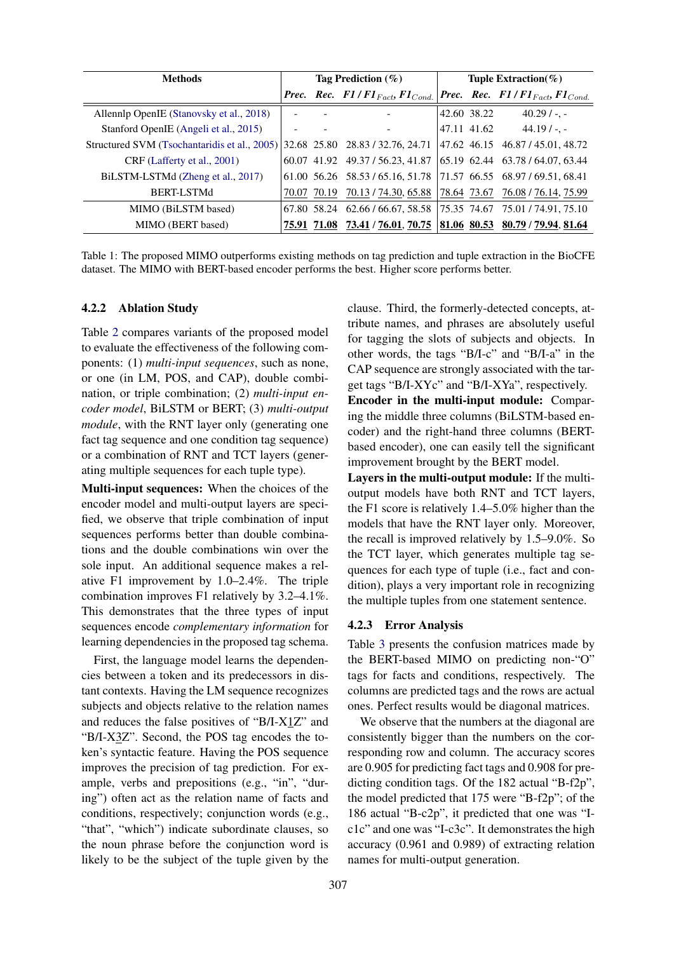<span id="page-5-0"></span>

| <b>Methods</b>                                                                | Tag Prediction $(\%)$ |  |                                                                   | Tuple Extraction( $\%$ ) |             |                                            |
|-------------------------------------------------------------------------------|-----------------------|--|-------------------------------------------------------------------|--------------------------|-------------|--------------------------------------------|
|                                                                               |                       |  | <b>Prec.</b> Rec. $F1/F1_{Fact}, F1_{Cond.}$                      |                          |             | <b>Prec.</b> Rec. $F1/F1_{Fact}F1_{Cond.}$ |
| Allennlp OpenIE (Stanovsky et al., 2018)                                      |                       |  |                                                                   |                          | 42.60 38.22 | $40.29/-.$                                 |
| Stanford OpenIE (Angeli et al., 2015)                                         |                       |  |                                                                   |                          | 47.11 41.62 | $44.19/ - -$                               |
| Structured SVM (Tsochantaridis et al., 2005) 32.68 25.80 28.83 / 32.76, 24.71 |                       |  |                                                                   |                          |             | 47.62 46.15 46.87 / 45.01, 48.72           |
| CRF (Lafferty et al., 2001)                                                   |                       |  | 60.07 41.92 49.37 / 56.23, 41.87                                  |                          |             | 65.19 62.44 63.78 / 64.07, 63.44           |
| BiLSTM-LSTMd (Zheng et al., 2017)                                             |                       |  | 61.00 56.26 58.53 / 65.16, 51.78 71.57 66.55 68.97 / 69.51, 68.41 |                          |             |                                            |
| <b>BERT-LSTMd</b>                                                             |                       |  | 70.07 70.19 70.13 / 74.30, 65.88 78.64 73.67 76.08 / 76.14, 75.99 |                          |             |                                            |
| MIMO (BiLSTM based)                                                           |                       |  | 67.80 58.24 62.66 / 66.67, 58.58 75.35 74.67 75.01 / 74.91, 75.10 |                          |             |                                            |
| MIMO (BERT based)                                                             |                       |  | 75.91 71.08 73.41 / 76.01, 70.75 81.06 80.53 80.79 / 79.94, 81.64 |                          |             |                                            |

Table 1: The proposed MIMO outperforms existing methods on tag prediction and tuple extraction in the BioCFE dataset. The MIMO with BERT-based encoder performs the best. Higher score performs better.

#### 4.2.2 Ablation Study

Table [2](#page-6-0) compares variants of the proposed model to evaluate the effectiveness of the following components: (1) *multi-input sequences*, such as none, or one (in LM, POS, and CAP), double combination, or triple combination; (2) *multi-input encoder model*, BiLSTM or BERT; (3) *multi-output module*, with the RNT layer only (generating one fact tag sequence and one condition tag sequence) or a combination of RNT and TCT layers (generating multiple sequences for each tuple type).

Multi-input sequences: When the choices of the encoder model and multi-output layers are specified, we observe that triple combination of input sequences performs better than double combinations and the double combinations win over the sole input. An additional sequence makes a relative F1 improvement by 1.0–2.4%. The triple combination improves F1 relatively by 3.2–4.1%. This demonstrates that the three types of input sequences encode *complementary information* for learning dependencies in the proposed tag schema.

First, the language model learns the dependencies between a token and its predecessors in distant contexts. Having the LM sequence recognizes subjects and objects relative to the relation names and reduces the false positives of "B/I-X1Z" and "B/I-X3Z". Second, the POS tag encodes the token's syntactic feature. Having the POS sequence improves the precision of tag prediction. For example, verbs and prepositions (e.g., "in", "during") often act as the relation name of facts and conditions, respectively; conjunction words (e.g., "that", "which") indicate subordinate clauses, so the noun phrase before the conjunction word is likely to be the subject of the tuple given by the clause. Third, the formerly-detected concepts, attribute names, and phrases are absolutely useful for tagging the slots of subjects and objects. In other words, the tags "B/I-c" and "B/I-a" in the CAP sequence are strongly associated with the target tags "B/I-XYc" and "B/I-XYa", respectively.

Encoder in the multi-input module: Comparing the middle three columns (BiLSTM-based encoder) and the right-hand three columns (BERTbased encoder), one can easily tell the significant improvement brought by the BERT model.

Layers in the multi-output module: If the multioutput models have both RNT and TCT layers, the F1 score is relatively 1.4–5.0% higher than the models that have the RNT layer only. Moreover, the recall is improved relatively by 1.5–9.0%. So the TCT layer, which generates multiple tag sequences for each type of tuple (i.e., fact and condition), plays a very important role in recognizing the multiple tuples from one statement sentence.

#### 4.2.3 Error Analysis

Table [3](#page-7-1) presents the confusion matrices made by the BERT-based MIMO on predicting non-"O" tags for facts and conditions, respectively. The columns are predicted tags and the rows are actual ones. Perfect results would be diagonal matrices.

We observe that the numbers at the diagonal are consistently bigger than the numbers on the corresponding row and column. The accuracy scores are 0.905 for predicting fact tags and 0.908 for predicting condition tags. Of the 182 actual "B-f2p", the model predicted that 175 were "B-f2p"; of the 186 actual "B-c2p", it predicted that one was "Ic1c" and one was "I-c3c". It demonstrates the high accuracy (0.961 and 0.989) of extracting relation names for multi-output generation.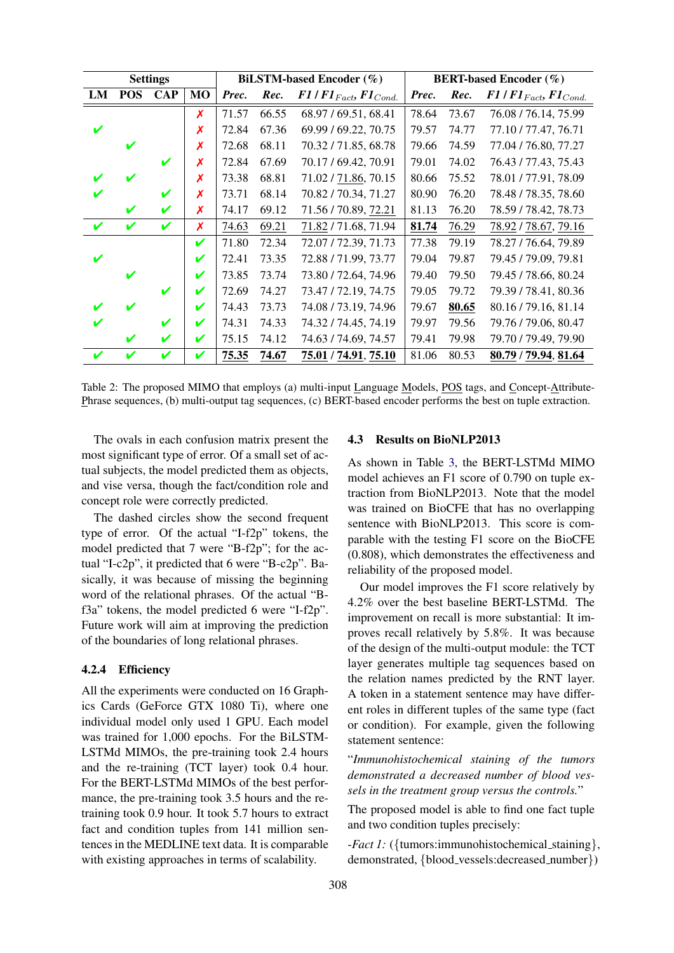<span id="page-6-0"></span>

| <b>Settings</b> |            |            |           |       | <b>BiLSTM-based Encoder</b> (%) | <b>BERT-based Encoder</b> (%)  |       |       |                                |
|-----------------|------------|------------|-----------|-------|---------------------------------|--------------------------------|-------|-------|--------------------------------|
| LM              | <b>POS</b> | <b>CAP</b> | <b>MO</b> | Prec. | Rec.                            | $F1/F1_{Fact}$ , $F1_{Cond}$ . | Prec. | Rec.  | $F1/F1_{Fact}$ , $F1_{Cond}$ . |
|                 |            |            | X         | 71.57 | 66.55                           | 68.97/69.51, 68.41             | 78.64 | 73.67 | 76.08 / 76.14, 75.99           |
|                 |            |            | X         | 72.84 | 67.36                           | 69.99 / 69.22, 70.75           | 79.57 | 74.77 | 77.10 / 77.47, 76.71           |
|                 | ✔          |            | X         | 72.68 | 68.11                           | 70.32/71.85, 68.78             | 79.66 | 74.59 | 77.04 / 76.80, 77.27           |
|                 |            |            | х         | 72.84 | 67.69                           | 70.17/69.42, 70.91             | 79.01 | 74.02 | 76.43 / 77.43, 75.43           |
|                 |            |            | Х         | 73.38 | 68.81                           | 71.02 / 71.86, 70.15           | 80.66 | 75.52 | 78.01 / 77.91, 78.09           |
|                 |            | V          | X         | 73.71 | 68.14                           | 70.82 / 70.34, 71.27           | 80.90 | 76.20 | 78.48 / 78.35, 78.60           |
|                 | V          | V          | X         | 74.17 | 69.12                           | 71.56 / 70.89, 72.21           | 81.13 | 76.20 | 78.59 / 78.42, 78.73           |
| V               | V          | V          | X         | 74.63 | 69.21                           | 71.82/71.68, 71.94             | 81.74 | 76.29 | 78.92 / 78.67, 79.16           |
|                 |            |            | V         | 71.80 | 72.34                           | 72.07 / 72.39, 71.73           | 77.38 | 79.19 | 78.27 / 76.64, 79.89           |
| V               |            |            | V         | 72.41 | 73.35                           | 72.88 / 71.99, 73.77           | 79.04 | 79.87 | 79.45 / 79.09, 79.81           |
|                 | ✔          |            | V         | 73.85 | 73.74                           | 73.80 / 72.64, 74.96           | 79.40 | 79.50 | 79.45 / 78.66, 80.24           |
|                 |            | V          | V         | 72.69 | 74.27                           | 73.47 / 72.19, 74.75           | 79.05 | 79.72 | 79.39 / 78.41, 80.36           |
|                 |            |            | ✔         | 74.43 | 73.73                           | 74.08 / 73.19, 74.96           | 79.67 | 80.65 | 80.16/79.16, 81.14             |
|                 |            | V          | V         | 74.31 | 74.33                           | 74.32 / 74.45, 74.19           | 79.97 | 79.56 | 79.76 / 79.06, 80.47           |
|                 | ✔          | V          | V         | 75.15 | 74.12                           | 74.63 / 74.69, 74.57           | 79.41 | 79.98 | 79.70 / 79.49, 79.90           |
| ✔               |            | V          | ✔         | 75.35 | 74.67                           | 75.01 / 74.91, 75.10           | 81.06 | 80.53 | 80.79 / 79.94, 81.64           |

Table 2: The proposed MIMO that employs (a) multi-input Language Models, POS tags, and Concept-Attribute-Phrase sequences, (b) multi-output tag sequences, (c) BERT-based encoder performs the best on tuple extraction.

The ovals in each confusion matrix present the most significant type of error. Of a small set of actual subjects, the model predicted them as objects, and vise versa, though the fact/condition role and concept role were correctly predicted.

The dashed circles show the second frequent type of error. Of the actual "I-f2p" tokens, the model predicted that 7 were "B-f2p"; for the actual "I-c2p", it predicted that 6 were "B-c2p". Basically, it was because of missing the beginning word of the relational phrases. Of the actual "Bf3a" tokens, the model predicted 6 were "I-f2p". Future work will aim at improving the prediction of the boundaries of long relational phrases.

#### 4.2.4 Efficiency

All the experiments were conducted on 16 Graphics Cards (GeForce GTX 1080 Ti), where one individual model only used 1 GPU. Each model was trained for 1,000 epochs. For the BiLSTM-LSTMd MIMOs, the pre-training took 2.4 hours and the re-training (TCT layer) took 0.4 hour. For the BERT-LSTMd MIMOs of the best performance, the pre-training took 3.5 hours and the retraining took 0.9 hour. It took 5.7 hours to extract fact and condition tuples from 141 million sentences in the MEDLINE text data. It is comparable with existing approaches in terms of scalability.

# 4.3 Results on BioNLP2013

As shown in Table [3,](#page-7-2) the BERT-LSTMd MIMO model achieves an F1 score of 0.790 on tuple extraction from BioNLP2013. Note that the model was trained on BioCFE that has no overlapping sentence with BioNLP2013. This score is comparable with the testing F1 score on the BioCFE (0.808), which demonstrates the effectiveness and reliability of the proposed model.

Our model improves the F1 score relatively by 4.2% over the best baseline BERT-LSTMd. The improvement on recall is more substantial: It improves recall relatively by 5.8%. It was because of the design of the multi-output module: the TCT layer generates multiple tag sequences based on the relation names predicted by the RNT layer. A token in a statement sentence may have different roles in different tuples of the same type (fact or condition). For example, given the following statement sentence:

"*Immunohistochemical staining of the tumors demonstrated a decreased number of blood vessels in the treatment group versus the controls.*"

The proposed model is able to find one fact tuple and two condition tuples precisely:

*-Fact 1:* ({tumors:immunohistochemical\_staining}, demonstrated, {blood vessels:decreased number})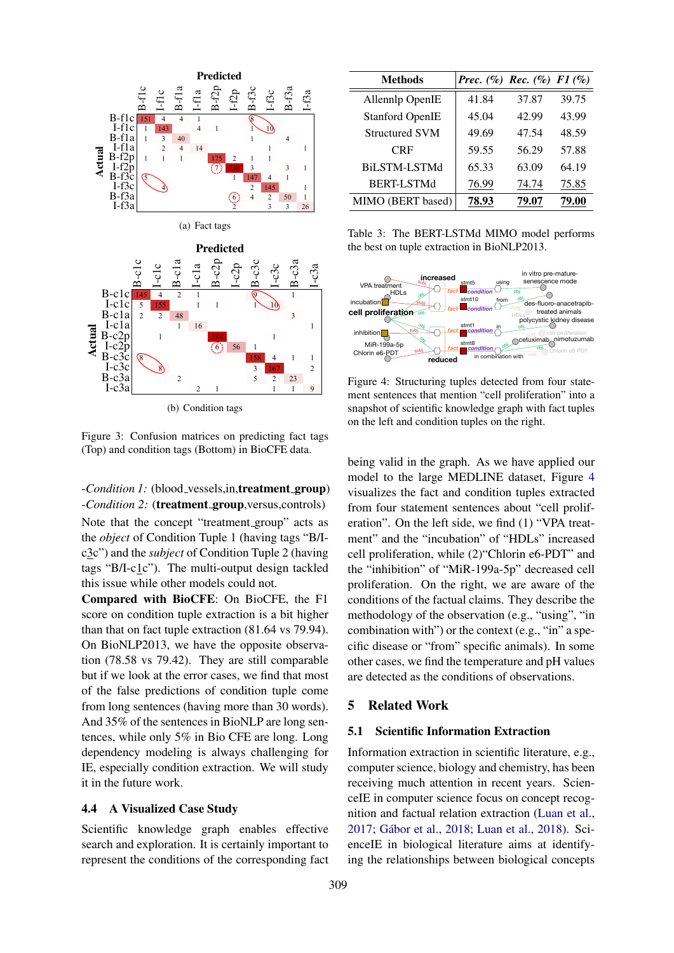<span id="page-7-1"></span>

Figure 3: Confusion matrices on predicting fact tags (Top) and condition tags (Bottom) in BioCFE data.

-*Condition 1*: (blood\_vessels,in,treatment\_group) -*Condition 2:* (**treatment\_group**, versus, controls) Note that the concept "treatment group" acts as the *object* of Condition Tuple 1 (having tags "B/Ic3c") and the *subject* of Condition Tuple 2 (having tags "B/I-c1c"). The multi-output design tackled this issue while other models could not.

Compared with BioCFE: On BioCFE, the F1 score on condition tuple extraction is a bit higher than that on fact tuple extraction (81.64 vs 79.94). On BioNLP2013, we have the opposite observation (78.58 vs 79.42). They are still comparable but if we look at the error cases, we find that most of the false predictions of condition tuple come from long sentences (having more than 30 words). And 35% of the sentences in BioNLP are long sentences, while only 5% in Bio CFE are long. Long dependency modeling is always challenging for IE, especially condition extraction. We will study it in the future work.

## 4.4 A Visualized Case Study

Scientific knowledge graph enables effective search and exploration. It is certainly important to represent the conditions of the corresponding fact

<span id="page-7-2"></span>

| <b>Methods</b>         | <i>Prec.</i> $(\%)$ <i>Rec.</i> $(\%)$ <i>F1</i> $(\%)$ |       |       |
|------------------------|---------------------------------------------------------|-------|-------|
| Allennlp OpenIE        | 41.84                                                   | 37.87 | 39.75 |
| <b>Stanford OpenIE</b> | 45.04                                                   | 42.99 | 43.99 |
| <b>Structured SVM</b>  | 49.69                                                   | 47.54 | 48.59 |
| <b>CRF</b>             | 59.55                                                   | 56.29 | 57.88 |
| BILSTM-LSTMd           | 65.33                                                   | 63.09 | 64.19 |
| <b>BERT-LSTMd</b>      | 76.99                                                   | 74.74 | 75.85 |
| MIMO (BERT based)      | 78.93                                                   | 79.07 | 79.00 |

Table 3: The BERT-LSTMd MIMO model performs the best on tuple extraction in BioNLP2013.

<span id="page-7-0"></span>

Figure 4: Structuring tuples detected from four statement sentences that mention "cell proliferation" into a snapshot of scientific knowledge graph with fact tuples on the left and condition tuples on the right.

being valid in the graph. As we have applied our model to the large MEDLINE dataset, Figure [4](#page-7-0) visualizes the fact and condition tuples extracted from four statement sentences about "cell proliferation". On the left side, we find (1) "VPA treatment" and the "incubation" of "HDLs" increased cell proliferation, while (2)"Chlorin e6-PDT" and the "inhibition" of "MiR-199a-5p" decreased cell proliferation. On the right, we are aware of the conditions of the factual claims. They describe the methodology of the observation (e.g., "using", "in combination with") or the context (e.g., "in" a specific disease or "from" specific animals). In some other cases, we find the temperature and pH values are detected as the conditions of observations.

## 5 Related Work

#### 5.1 Scientific Information Extraction

Information extraction in scientific literature, e.g., computer science, biology and chemistry, has been receiving much attention in recent years. ScienceIE in computer science focus on concept recognition and factual relation extraction [\(Luan et al.,](#page-9-12) [2017;](#page-9-12) Gábor et al., [2018;](#page-8-4) [Luan et al.,](#page-9-4) [2018\)](#page-9-4). ScienceIE in biological literature aims at identifying the relationships between biological concepts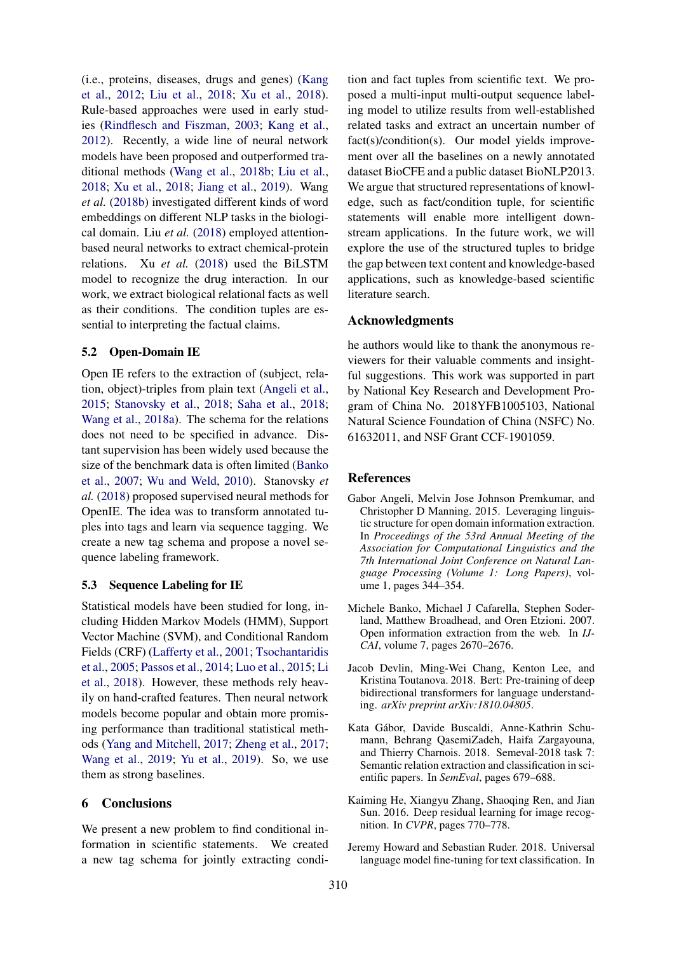(i.e., proteins, diseases, drugs and genes) [\(Kang](#page-9-13) [et al.,](#page-9-13) [2012;](#page-9-13) [Liu et al.,](#page-9-14) [2018;](#page-9-14) [Xu et al.,](#page-10-1) [2018\)](#page-10-1). Rule-based approaches were used in early studies [\(Rindflesch and Fiszman,](#page-9-15) [2003;](#page-9-15) [Kang et al.,](#page-9-13) [2012\)](#page-9-13). Recently, a wide line of neural network models have been proposed and outperformed traditional methods [\(Wang et al.,](#page-10-2) [2018b;](#page-10-2) [Liu et al.,](#page-9-14) [2018;](#page-9-14) [Xu et al.,](#page-10-1) [2018;](#page-10-1) [Jiang et al.,](#page-9-16) [2019\)](#page-9-16). Wang *et al.* [\(2018b\)](#page-10-2) investigated different kinds of word embeddings on different NLP tasks in the biological domain. Liu *et al.* [\(2018\)](#page-9-14) employed attentionbased neural networks to extract chemical-protein relations. Xu *et al.* [\(2018\)](#page-10-1) used the BiLSTM model to recognize the drug interaction. In our work, we extract biological relational facts as well as their conditions. The condition tuples are essential to interpreting the factual claims.

## 5.2 Open-Domain IE

Open IE refers to the extraction of (subject, relation, object)-triples from plain text [\(Angeli et al.,](#page-8-3) [2015;](#page-8-3) [Stanovsky et al.,](#page-9-2) [2018;](#page-9-2) [Saha et al.,](#page-9-17) [2018;](#page-9-17) [Wang et al.,](#page-9-7) [2018a\)](#page-9-7). The schema for the relations does not need to be specified in advance. Distant supervision has been widely used because the size of the benchmark data is often limited [\(Banko](#page-8-5) [et al.,](#page-8-5) [2007;](#page-8-5) [Wu and Weld,](#page-10-3) [2010\)](#page-10-3). Stanovsky *et al.* [\(2018\)](#page-9-2) proposed supervised neural methods for OpenIE. The idea was to transform annotated tuples into tags and learn via sequence tagging. We create a new tag schema and propose a novel sequence labeling framework.

## 5.3 Sequence Labeling for IE

Statistical models have been studied for long, including Hidden Markov Models (HMM), Support Vector Machine (SVM), and Conditional Random Fields (CRF) [\(Lafferty et al.,](#page-9-10) [2001;](#page-9-10) [Tsochantaridis](#page-9-9) [et al.,](#page-9-9) [2005;](#page-9-9) [Passos et al.,](#page-9-18) [2014;](#page-9-18) [Luo et al.,](#page-9-19) [2015;](#page-9-19) [Li](#page-9-20) [et al.,](#page-9-20) [2018\)](#page-9-20). However, these methods rely heavily on hand-crafted features. Then neural network models become popular and obtain more promising performance than traditional statistical methods [\(Yang and Mitchell,](#page-10-4) [2017;](#page-10-4) [Zheng et al.,](#page-10-0) [2017;](#page-10-0) [Wang et al.,](#page-10-5) [2019;](#page-10-5) [Yu et al.,](#page-10-6) [2019\)](#page-10-6). So, we use them as strong baselines.

## 6 Conclusions

We present a new problem to find conditional information in scientific statements. We created a new tag schema for jointly extracting condition and fact tuples from scientific text. We proposed a multi-input multi-output sequence labeling model to utilize results from well-established related tasks and extract an uncertain number of fact(s)/condition(s). Our model yields improvement over all the baselines on a newly annotated dataset BioCFE and a public dataset BioNLP2013. We argue that structured representations of knowledge, such as fact/condition tuple, for scientific statements will enable more intelligent downstream applications. In the future work, we will explore the use of the structured tuples to bridge the gap between text content and knowledge-based applications, such as knowledge-based scientific literature search.

#### Acknowledgments

he authors would like to thank the anonymous reviewers for their valuable comments and insightful suggestions. This work was supported in part by National Key Research and Development Program of China No. 2018YFB1005103, National Natural Science Foundation of China (NSFC) No. 61632011, and NSF Grant CCF-1901059.

#### References

- <span id="page-8-3"></span>Gabor Angeli, Melvin Jose Johnson Premkumar, and Christopher D Manning. 2015. Leveraging linguistic structure for open domain information extraction. In *Proceedings of the 53rd Annual Meeting of the Association for Computational Linguistics and the 7th International Joint Conference on Natural Language Processing (Volume 1: Long Papers)*, volume 1, pages 344–354.
- <span id="page-8-5"></span>Michele Banko, Michael J Cafarella, Stephen Soderland, Matthew Broadhead, and Oren Etzioni. 2007. Open information extraction from the web. In *IJ-CAI*, volume 7, pages 2670–2676.
- <span id="page-8-2"></span>Jacob Devlin, Ming-Wei Chang, Kenton Lee, and Kristina Toutanova. 2018. Bert: Pre-training of deep bidirectional transformers for language understanding. *arXiv preprint arXiv:1810.04805*.
- <span id="page-8-4"></span>Kata Gabor, Davide Buscaldi, Anne-Kathrin Schu- ´ mann, Behrang QasemiZadeh, Haifa Zargayouna, and Thierry Charnois. 2018. Semeval-2018 task 7: Semantic relation extraction and classification in scientific papers. In *SemEval*, pages 679–688.
- <span id="page-8-1"></span>Kaiming He, Xiangyu Zhang, Shaoqing Ren, and Jian Sun. 2016. Deep residual learning for image recognition. In *CVPR*, pages 770–778.
- <span id="page-8-0"></span>Jeremy Howard and Sebastian Ruder. 2018. Universal language model fine-tuning for text classification. In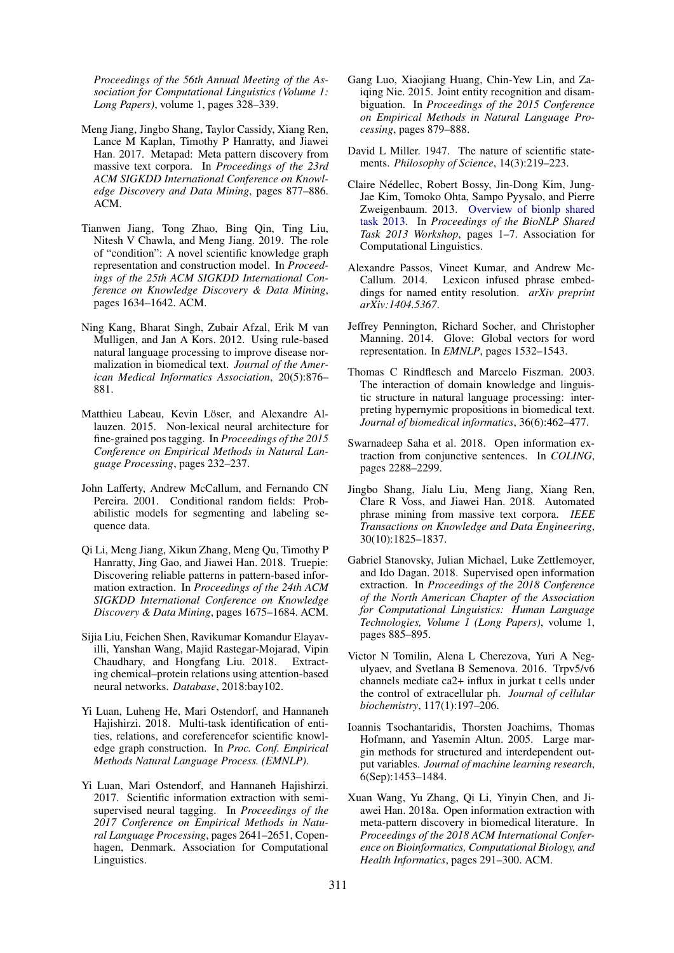*Proceedings of the 56th Annual Meeting of the Association for Computational Linguistics (Volume 1: Long Papers)*, volume 1, pages 328–339.

- <span id="page-9-5"></span>Meng Jiang, Jingbo Shang, Taylor Cassidy, Xiang Ren, Lance M Kaplan, Timothy P Hanratty, and Jiawei Han. 2017. Metapad: Meta pattern discovery from massive text corpora. In *Proceedings of the 23rd ACM SIGKDD International Conference on Knowledge Discovery and Data Mining*, pages 877–886. ACM.
- <span id="page-9-16"></span>Tianwen Jiang, Tong Zhao, Bing Qin, Ting Liu, Nitesh V Chawla, and Meng Jiang. 2019. The role of "condition": A novel scientific knowledge graph representation and construction model. In *Proceedings of the 25th ACM SIGKDD International Conference on Knowledge Discovery & Data Mining*, pages 1634–1642. ACM.
- <span id="page-9-13"></span>Ning Kang, Bharat Singh, Zubair Afzal, Erik M van Mulligen, and Jan A Kors. 2012. Using rule-based natural language processing to improve disease normalization in biomedical text. *Journal of the American Medical Informatics Association*, 20(5):876– 881.
- <span id="page-9-3"></span>Matthieu Labeau, Kevin Löser, and Alexandre Allauzen. 2015. Non-lexical neural architecture for fine-grained pos tagging. In *Proceedings of the 2015 Conference on Empirical Methods in Natural Language Processing*, pages 232–237.
- <span id="page-9-10"></span>John Lafferty, Andrew McCallum, and Fernando CN Pereira. 2001. Conditional random fields: Probabilistic models for segmenting and labeling sequence data.
- <span id="page-9-20"></span>Qi Li, Meng Jiang, Xikun Zhang, Meng Qu, Timothy P Hanratty, Jing Gao, and Jiawei Han. 2018. Truepie: Discovering reliable patterns in pattern-based information extraction. In *Proceedings of the 24th ACM SIGKDD International Conference on Knowledge Discovery & Data Mining*, pages 1675–1684. ACM.
- <span id="page-9-14"></span>Sijia Liu, Feichen Shen, Ravikumar Komandur Elayavilli, Yanshan Wang, Majid Rastegar-Mojarad, Vipin Chaudhary, and Hongfang Liu. 2018. Extracting chemical–protein relations using attention-based neural networks. *Database*, 2018:bay102.
- <span id="page-9-4"></span>Yi Luan, Luheng He, Mari Ostendorf, and Hannaneh Hajishirzi. 2018. Multi-task identification of entities, relations, and coreferencefor scientific knowledge graph construction. In *Proc. Conf. Empirical Methods Natural Language Process. (EMNLP)*.
- <span id="page-9-12"></span>Yi Luan, Mari Ostendorf, and Hannaneh Hajishirzi. 2017. Scientific information extraction with semisupervised neural tagging. In *Proceedings of the 2017 Conference on Empirical Methods in Natural Language Processing*, pages 2641–2651, Copenhagen, Denmark. Association for Computational Linguistics.
- <span id="page-9-19"></span>Gang Luo, Xiaojiang Huang, Chin-Yew Lin, and Zaiqing Nie. 2015. Joint entity recognition and disambiguation. In *Proceedings of the 2015 Conference on Empirical Methods in Natural Language Processing*, pages 879–888.
- <span id="page-9-0"></span>David L Miller. 1947. The nature of scientific statements. *Philosophy of Science*, 14(3):219–223.
- <span id="page-9-8"></span>Claire Nedellec, Robert Bossy, Jin-Dong Kim, Jung- ´ Jae Kim, Tomoko Ohta, Sampo Pyysalo, and Pierre Zweigenbaum. 2013. [Overview of bionlp shared](http://aclweb.org/anthology/W13-2001) [task 2013.](http://aclweb.org/anthology/W13-2001) In *Proceedings of the BioNLP Shared Task 2013 Workshop*, pages 1–7. Association for Computational Linguistics.
- <span id="page-9-18"></span>Alexandre Passos, Vineet Kumar, and Andrew Mc-Callum. 2014. Lexicon infused phrase embeddings for named entity resolution. *arXiv preprint arXiv:1404.5367*.
- <span id="page-9-11"></span>Jeffrey Pennington, Richard Socher, and Christopher Manning. 2014. Glove: Global vectors for word representation. In *EMNLP*, pages 1532–1543.
- <span id="page-9-15"></span>Thomas C Rindflesch and Marcelo Fiszman. 2003. The interaction of domain knowledge and linguistic structure in natural language processing: interpreting hypernymic propositions in biomedical text. *Journal of biomedical informatics*, 36(6):462–477.
- <span id="page-9-17"></span>Swarnadeep Saha et al. 2018. Open information extraction from conjunctive sentences. In *COLING*, pages 2288–2299.
- <span id="page-9-6"></span>Jingbo Shang, Jialu Liu, Meng Jiang, Xiang Ren, Clare R Voss, and Jiawei Han. 2018. Automated phrase mining from massive text corpora. *IEEE Transactions on Knowledge and Data Engineering*, 30(10):1825–1837.
- <span id="page-9-2"></span>Gabriel Stanovsky, Julian Michael, Luke Zettlemoyer, and Ido Dagan. 2018. Supervised open information extraction. In *Proceedings of the 2018 Conference of the North American Chapter of the Association for Computational Linguistics: Human Language Technologies, Volume 1 (Long Papers)*, volume 1, pages 885–895.
- <span id="page-9-1"></span>Victor N Tomilin, Alena L Cherezova, Yuri A Negulyaev, and Svetlana B Semenova. 2016. Trpv5/v6 channels mediate ca2+ influx in jurkat t cells under the control of extracellular ph. *Journal of cellular biochemistry*, 117(1):197–206.
- <span id="page-9-9"></span>Ioannis Tsochantaridis, Thorsten Joachims, Thomas Hofmann, and Yasemin Altun. 2005. Large margin methods for structured and interdependent output variables. *Journal of machine learning research*, 6(Sep):1453–1484.
- <span id="page-9-7"></span>Xuan Wang, Yu Zhang, Qi Li, Yinyin Chen, and Jiawei Han. 2018a. Open information extraction with meta-pattern discovery in biomedical literature. In *Proceedings of the 2018 ACM International Conference on Bioinformatics, Computational Biology, and Health Informatics*, pages 291–300. ACM.